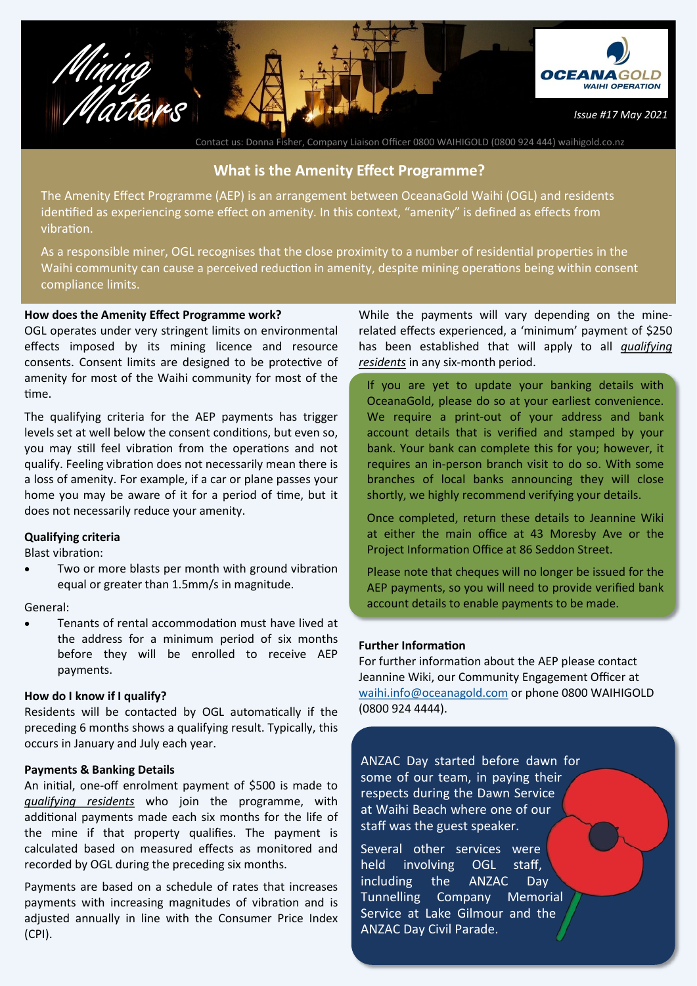

Contact us: Donna Fisher, Company Liaison Officer 0800 WAIHIGOLD (0800 924 444) waihigold.co.nz

### **What is the Amenity Effect Programme?**

The Amenity Effect Programme (AEP) is an arrangement between OceanaGold Waihi (OGL) and residents identified as experiencing some effect on amenity. In this context, "amenity" is defined as effects from vibration.

As a responsible miner, OGL recognises that the close proximity to a number of residential properties in the Waihi community can cause a perceived reduction in amenity, despite mining operations being within consent compliance limits.

#### **How does the Amenity Effect Programme work?**

OGL operates under very stringent limits on environmental effects imposed by its mining licence and resource consents. Consent limits are designed to be protective of amenity for most of the Waihi community for most of the time.

The qualifying criteria for the AEP payments has trigger levels set at well below the consent conditions, but even so, you may still feel vibration from the operations and not qualify. Feeling vibration does not necessarily mean there is a loss of amenity. For example, if a car or plane passes your home you may be aware of it for a period of time, but it does not necessarily reduce your amenity.

#### **Qualifying criteria**

Blast vibration:

Two or more blasts per month with ground vibration equal or greater than 1.5mm/s in magnitude.

#### General:

• Tenants of rental accommodation must have lived at the address for a minimum period of six months before they will be enrolled to receive AEP payments.

#### **How do I know if I qualify?**

Residents will be contacted by OGL automatically if the preceding 6 months shows a qualifying result. Typically, this occurs in January and July each year.

#### **Payments & Banking Details**

An initial, one-off enrolment payment of \$500 is made to *qualifying residents* who join the programme, with additional payments made each six months for the life of the mine if that property qualifies. The payment is calculated based on measured effects as monitored and recorded by OGL during the preceding six months.

Payments are based on a schedule of rates that increases payments with increasing magnitudes of vibration and is adjusted annually in line with the Consumer Price Index (CPI).

While the payments will vary depending on the minerelated effects experienced, a 'minimum' payment of \$250 has been established that will apply to all *qualifying residents* in any six-month period.

If you are yet to update your banking details with OceanaGold, please do so at your earliest convenience. We require a print-out of your address and bank account details that is verified and stamped by your bank. Your bank can complete this for you; however, it requires an in-person branch visit to do so. With some branches of local banks announcing they will close shortly, we highly recommend verifying your details.

Once completed, return these details to Jeannine Wiki at either the main office at 43 Moresby Ave or the Project Information Office at 86 Seddon Street.

Please note that cheques will no longer be issued for the AEP payments, so you will need to provide verified bank account details to enable payments to be made.

#### **Further Information**

For further information about the AEP please contact Jeannine Wiki, our Community Engagement Officer at [waihi.info@oceanagold.com](mailto:Jeannine.wiki@oceanagold.com) or phone 0800 WAIHIGOLD (0800 924 4444).

ANZAC Day started before dawn for some of our team, in paying their respects during the Dawn Service at Waihi Beach where one of our staff was the guest speaker.

Several other services were held involving OGL staff, including the ANZAC Day Tunnelling Company Memorial Service at Lake Gilmour and the ANZAC Day Civil Parade.